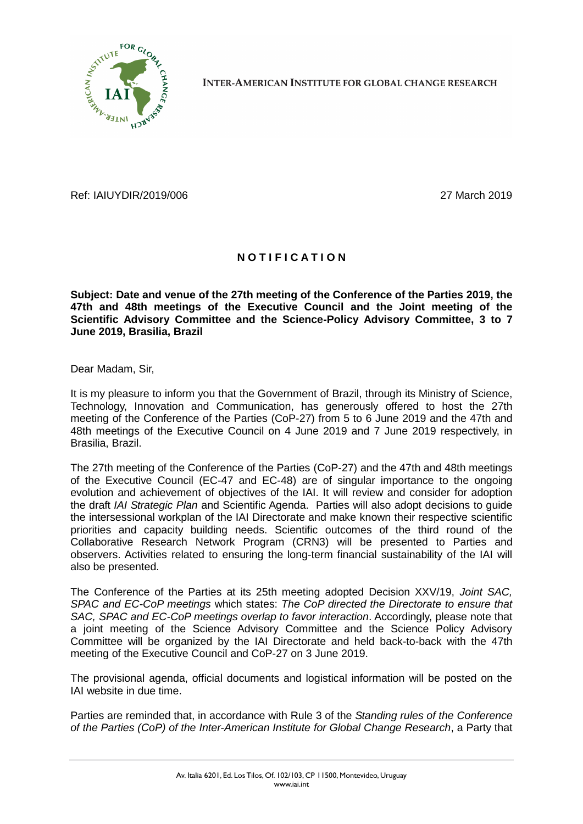

**INTER-AMERICAN INSTITUTE FOR GLOBAL CHANGE RESEARCH** 

Ref: IAIUYDIR/2019/006 27 March 2019

## **N O T I F I C A T I O N**

**Subject: Date and venue of the 27th meeting of the Conference of the Parties 2019, the 47th and 48th meetings of the Executive Council and the Joint meeting of the Scientific Advisory Committee and the Science-Policy Advisory Committee, 3 to 7 June 2019, Brasilia, Brazil**

Dear Madam, Sir,

It is my pleasure to inform you that the Government of Brazil, through its Ministry of Science, Technology, Innovation and Communication, has generously offered to host the 27th meeting of the Conference of the Parties (CoP-27) from 5 to 6 June 2019 and the 47th and 48th meetings of the Executive Council on 4 June 2019 and 7 June 2019 respectively, in Brasilia, Brazil.

The 27th meeting of the Conference of the Parties (CoP-27) and the 47th and 48th meetings of the Executive Council (EC-47 and EC-48) are of singular importance to the ongoing evolution and achievement of objectives of the IAI. It will review and consider for adoption the draft *IAI Strategic Plan* and Scientific Agenda. Parties will also adopt decisions to guide the intersessional workplan of the IAI Directorate and make known their respective scientific priorities and capacity building needs. Scientific outcomes of the third round of the Collaborative Research Network Program (CRN3) will be presented to Parties and observers. Activities related to ensuring the long-term financial sustainability of the IAI will also be presented.

The Conference of the Parties at its 25th meeting adopted Decision XXV/19, *Joint SAC, SPAC and EC-CoP meetings* which states: *The CoP directed the Directorate to ensure that SAC, SPAC and EC-CoP meetings overlap to favor interaction*. Accordingly, please note that a joint meeting of the Science Advisory Committee and the Science Policy Advisory Committee will be organized by the IAI Directorate and held back-to-back with the 47th meeting of the Executive Council and CoP-27 on 3 June 2019.

The provisional agenda, official documents and logistical information will be posted on the IAI website in due time.

Parties are reminded that, in accordance with Rule 3 of the *Standing rules of the Conference of the Parties (CoP) of the Inter-American Institute for Global Change Research*, a Party that